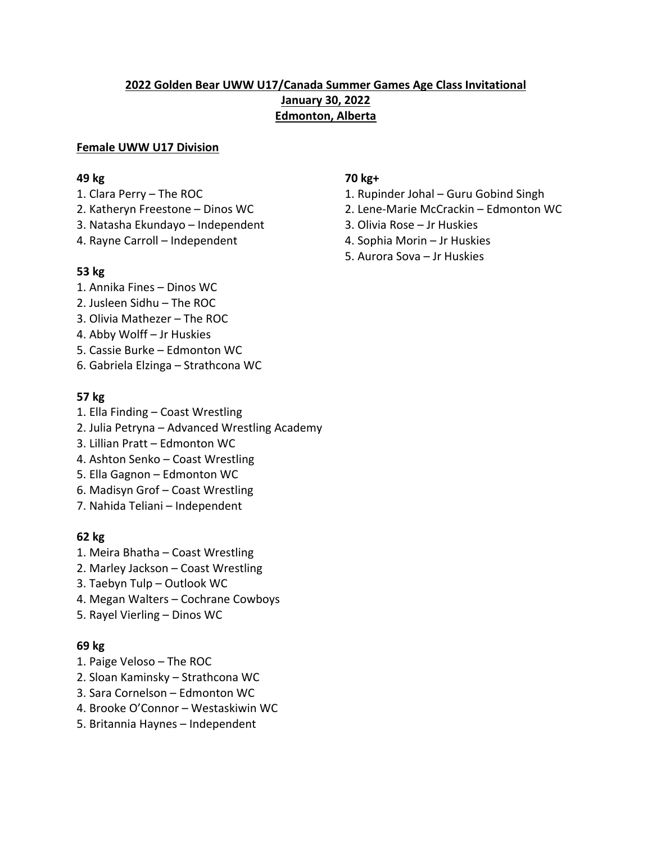### **Female UWW U17 Division**

- 
- 
- 3. Natasha Ekundayo Independent 3. Olivia Rose Jr Huskies
- 4. Rayne Carroll Independent 4. Sophia Morin Jr Huskies

### **53 kg**

- 1. Annika Fines Dinos WC
- 2. Jusleen Sidhu The ROC
- 3. Olivia Mathezer The ROC
- 4. Abby Wolff Jr Huskies
- 5. Cassie Burke Edmonton WC
- 6. Gabriela Elzinga Strathcona WC

## **57 kg**

- 1. Ella Finding Coast Wrestling
- 2. Julia Petryna Advanced Wrestling Academy
- 3. Lillian Pratt Edmonton WC
- 4. Ashton Senko Coast Wrestling
- 5. Ella Gagnon Edmonton WC
- 6. Madisyn Grof Coast Wrestling
- 7. Nahida Teliani Independent

## **62 kg**

- 1. Meira Bhatha Coast Wrestling
- 2. Marley Jackson Coast Wrestling
- 3. Taebyn Tulp Outlook WC
- 4. Megan Walters Cochrane Cowboys
- 5. Rayel Vierling Dinos WC

## **69 kg**

- 1. Paige Veloso The ROC
- 2. Sloan Kaminsky Strathcona WC
- 3. Sara Cornelson Edmonton WC
- 4. Brooke O'Connor Westaskiwin WC
- 5. Britannia Haynes Independent

# **49 kg 70 kg+**

- 1. Clara Perry The ROC 1. Rupinder Johal Guru Gobind Singh
- 2. Katheryn Freestone Dinos WC 2. Lene-Marie McCrackin Edmonton WC
	-
	-
	- 5. Aurora Sova Jr Huskies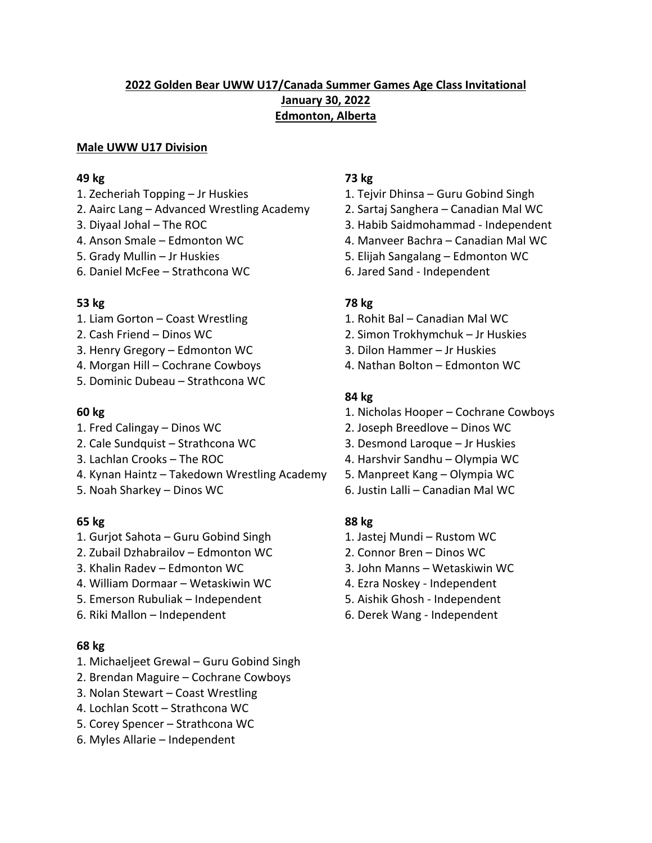### **Male UWW U17 Division**

### **49 kg 73 kg**

- 
- 2. Aairc Lang Advanced Wrestling Academy 2. Sartaj Sanghera Canadian Mal WC
- 
- 
- 
- 6. Daniel McFee Strathcona WC 6. Jared Sand Independent

### **53 kg 78 kg**

- 1. Liam Gorton Coast Wrestling 1. Rohit Bal Canadian Mal WC
- 
- 3. Henry Gregory Edmonton WC 3. Dilon Hammer Jr Huskies
- 4. Morgan Hill Cochrane Cowboys 4. Nathan Bolton Edmonton WC
- 5. Dominic Dubeau Strathcona WC

- 
- 2. Cale Sundquist Strathcona WC 3. Desmond Laroque Jr Huskies
- 
- 4. Kynan Haintz Takedown Wrestling Academy 5. Manpreet Kang Olympia WC
- 

- 1. Gurjot Sahota Guru Gobind Singh 1. Jastej Mundi Rustom WC
- 2. Zubail Dzhabrailov Edmonton WC 2. Connor Bren Dinos WC
- 
- 4. William Dormaar Wetaskiwin WC 4. Ezra Noskey Independent
- 5. Emerson Rubuliak Independent 5. Aishik Ghosh Independent
- 

## **68 kg**

- 1. Michaeljeet Grewal Guru Gobind Singh
- 2. Brendan Maguire Cochrane Cowboys
- 3. Nolan Stewart Coast Wrestling
- 4. Lochlan Scott Strathcona WC
- 5. Corey Spencer Strathcona WC
- 6. Myles Allarie Independent

- 1. Zecheriah Topping Jr Huskies 1. Tejvir Dhinsa Guru Gobind Singh
	-
- 3. Diyaal Johal The ROC 3. Habib Saidmohammad Independent
- 4. Anson Smale Edmonton WC 4. Manveer Bachra Canadian Mal WC
- 5. Grady Mullin Jr Huskies 5. Elijah Sangalang Edmonton WC
	-

- 
- 2. Cash Friend Dinos WC 2. Simon Trokhymchuk Jr Huskies
	-
	-

## **84 kg**

- **60 kg** 1. Nicholas Hooper Cochrane Cowboys
- 1. Fred Calingay Dinos WC 2. Joseph Breedlove Dinos WC
	-
- 3. Lachlan Crooks The ROC 4. Harshvir Sandhu Olympia WC
	-
- 5. Noah Sharkey Dinos WC 6. Justin Lalli Canadian Mal WC

## **65 kg 88 kg**

- 
- 
- 3. Khalin Radev Edmonton WC 3. John Manns Wetaskiwin WC
	-
	-
- 6. Riki Mallon Independent 6. Derek Wang Independent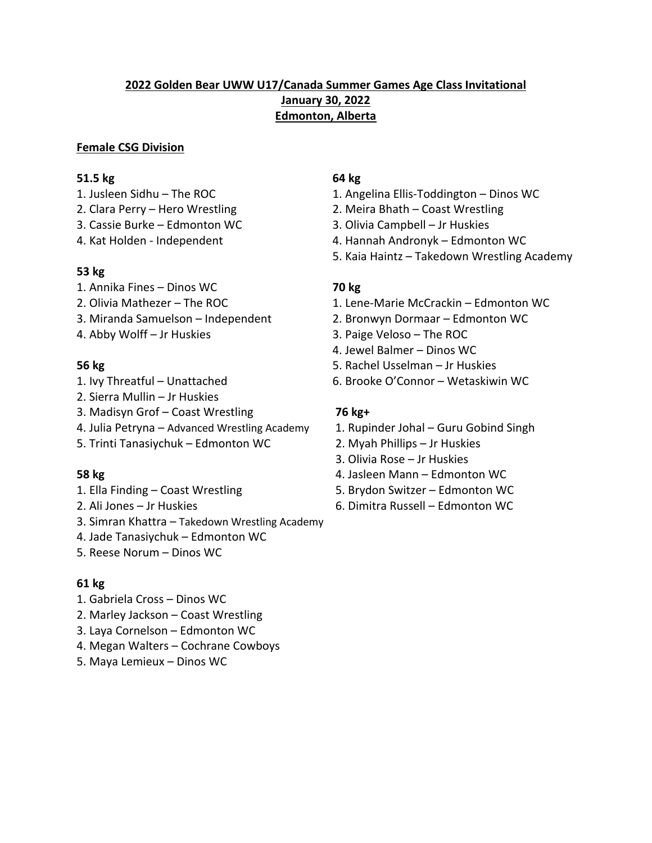### **Female CSG Division**

### **51.5 kg** 64 kg

- 
- 
- 3. Cassie Burke Edmonton WC 3. Olivia Campbell Jr Huskies
- 

### **53 kg**

- 1. Annika Fines Dinos WC **70 kg**
- 
- 
- 

- 
- 2. Sierra Mullin Jr Huskies
- 3. Madisyn Grof Coast Wrestling **76 kg+**
- 4. Julia Petryna Advanced Wrestling Academy 1. Rupinder Johal Guru Gobind Singh
- 5. Trinti Tanasiychuk Edmonton WC 2. Myah Phillips Jr Huskies

- 
- 
- 3. Simran Khattra Takedown Wrestling Academy
- 4. Jade Tanasiychuk Edmonton WC
- 5. Reese Norum Dinos WC

## **61 kg**

- 1. Gabriela Cross Dinos WC
- 2. Marley Jackson Coast Wrestling
- 3. Laya Cornelson Edmonton WC
- 4. Megan Walters Cochrane Cowboys
- 5. Maya Lemieux Dinos WC

- 1. Jusleen Sidhu The ROC 1. Angelina Ellis-Toddington Dinos WC
- 2. Clara Perry Hero Wrestling 2. Meira Bhath Coast Wrestling
	-
- 4. Kat Holden Independent 4. Hannah Andronyk Edmonton WC
	- 5. Kaia Haintz Takedown Wrestling Academy

- 2. Olivia Mathezer The ROC 1. Lene-Marie McCrackin Edmonton WC
- 3. Miranda Samuelson Independent 2. Bronwyn Dormaar Edmonton WC
- 4. Abby Wolff Jr Huskies 3. Paige Veloso The ROC
	- 4. Jewel Balmer Dinos WC
- **56 kg** 5. Rachel Usselman Jr Huskies
- 1. Ivy Threatful Unattached 6. Brooke O'Connor Wetaskiwin WC

- 
- 
- 3. Olivia Rose Jr Huskies
- **58 kg** 4. Jasleen Mann Edmonton WC
- 1. Ella Finding Coast Wrestling 5. Brydon Switzer Edmonton WC
- 2. Ali Jones Jr Huskies 6. Dimitra Russell Edmonton WC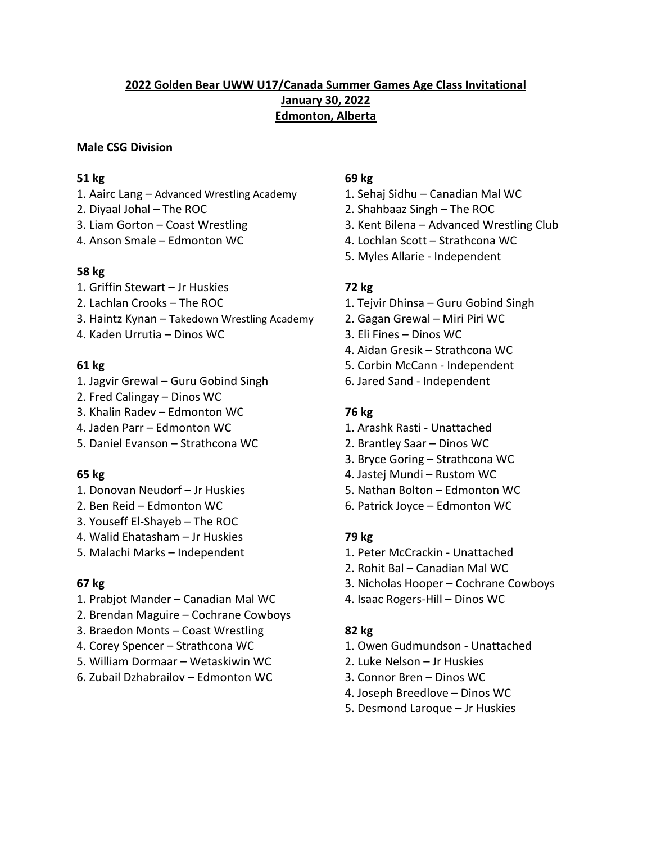### **Male CSG Division**

### **51 kg 69 kg**

- 1. Aairc Lang Advanced Wrestling Academy 1. Sehaj Sidhu Canadian Mal WC
- 
- 
- 

### **58 kg**

- 1. Griffin Stewart Jr Huskies **72 kg**
- 
- 3. Haintz Kynan Takedown Wrestling Academy 2. Gagan Grewal Miri Piri WC
- 4. Kaden Urrutia Dinos WC 3. Eli Fines Dinos WC

- 1. Jagvir Grewal Guru Gobind Singh 6. Jared Sand Independent
- 2. Fred Calingay Dinos WC
- 3. Khalin Radev Edmonton WC **76 kg**
- 4. Jaden Parr Edmonton WC 1. Arashk Rasti Unattached
- 5. Daniel Evanson Strathcona WC 2. Brantley Saar Dinos WC

- 
- 
- 3. Youseff El-Shayeb The ROC
- 4. Walid Ehatasham Jr Huskies **79 kg**
- 5. Malachi Marks Independent 1. Peter McCrackin Unattached

- 1. Prabjot Mander Canadian Mal WC 4. Isaac Rogers-Hill Dinos WC
- 2. Brendan Maguire Cochrane Cowboys
- 3. Braedon Monts Coast Wrestling **82 kg**
- 
- 5. William Dormaar Wetaskiwin WC 2. Luke Nelson Jr Huskies
- 6. Zubail Dzhabrailov Edmonton WC 3. Connor Bren Dinos WC

- 
- 2. Diyaal Johal The ROC 2. Shahbaaz Singh The ROC
- 3. Liam Gorton Coast Wrestling 3. Kent Bilena Advanced Wrestling Club
- 4. Anson Smale Edmonton WC 4. Lochlan Scott Strathcona WC
	- 5. Myles Allarie Independent

- 2. Lachlan Crooks The ROC 1. Tejvir Dhinsa Guru Gobind Singh
	-
	-
	- 4. Aidan Gresik Strathcona WC
- **61 kg** 5. Corbin McCann Independent
	-

- 
- 
- 3. Bryce Goring Strathcona WC
- **65 kg** 4. Jastej Mundi Rustom WC
- 1. Donovan Neudorf Jr Huskies 5. Nathan Bolton Edmonton WC
- 2. Ben Reid Edmonton WC 6. Patrick Joyce Edmonton WC

- 
- 2. Rohit Bal Canadian Mal WC
- **67 kg** 3. Nicholas Hooper Cochrane Cowboys
	-

- 4. Corey Spencer Strathcona WC 1. Owen Gudmundson Unattached
	-
	-
	- 4. Joseph Breedlove Dinos WC
	- 5. Desmond Laroque Jr Huskies